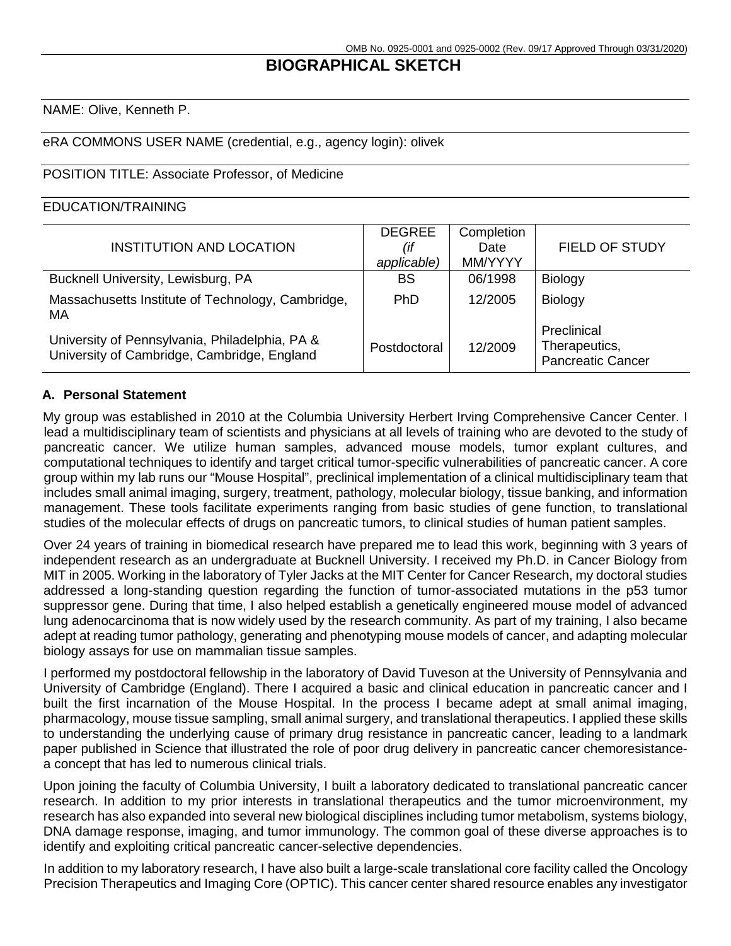# **BIOGRAPHICAL SKETCH**

NAME: Olive, Kenneth P.

#### eRA COMMONS USER NAME (credential, e.g., agency login): olivek

#### POSITION TITLE: Associate Professor, of Medicine

#### EDUCATION/TRAINING

| INSTITUTION AND LOCATION                                                                      | <b>DEGREE</b><br>(if<br>applicable) | Completion<br>Date<br>MM/YYYY | <b>FIELD OF STUDY</b>                                    |
|-----------------------------------------------------------------------------------------------|-------------------------------------|-------------------------------|----------------------------------------------------------|
| Bucknell University, Lewisburg, PA                                                            | <b>BS</b>                           | 06/1998                       | <b>Biology</b>                                           |
| Massachusetts Institute of Technology, Cambridge,<br><b>MA</b>                                | <b>PhD</b>                          | 12/2005                       | <b>Biology</b>                                           |
| University of Pennsylvania, Philadelphia, PA &<br>University of Cambridge, Cambridge, England | Postdoctoral                        | 12/2009                       | Preclinical<br>Therapeutics,<br><b>Pancreatic Cancer</b> |

#### **A. Personal Statement**

My group was established in 2010 at the Columbia University Herbert Irving Comprehensive Cancer Center. I lead a multidisciplinary team of scientists and physicians at all levels of training who are devoted to the study of pancreatic cancer. We utilize human samples, advanced mouse models, tumor explant cultures, and computational techniques to identify and target critical tumor-specific vulnerabilities of pancreatic cancer. A core group within my lab runs our "Mouse Hospital", preclinical implementation of a clinical multidisciplinary team that includes small animal imaging, surgery, treatment, pathology, molecular biology, tissue banking, and information management. These tools facilitate experiments ranging from basic studies of gene function, to translational studies of the molecular effects of drugs on pancreatic tumors, to clinical studies of human patient samples.

Over 24 years of training in biomedical research have prepared me to lead this work, beginning with 3 years of independent research as an undergraduate at Bucknell University. I received my Ph.D. in Cancer Biology from MIT in 2005. Working in the laboratory of Tyler Jacks at the MIT Center for Cancer Research, my doctoral studies addressed a long-standing question regarding the function of tumor-associated mutations in the p53 tumor suppressor gene. During that time, I also helped establish a genetically engineered mouse model of advanced lung adenocarcinoma that is now widely used by the research community. As part of my training, I also became adept at reading tumor pathology, generating and phenotyping mouse models of cancer, and adapting molecular biology assays for use on mammalian tissue samples.

I performed my postdoctoral fellowship in the laboratory of David Tuveson at the University of Pennsylvania and University of Cambridge (England). There I acquired a basic and clinical education in pancreatic cancer and I built the first incarnation of the Mouse Hospital. In the process I became adept at small animal imaging, pharmacology, mouse tissue sampling, small animal surgery, and translational therapeutics. I applied these skills to understanding the underlying cause of primary drug resistance in pancreatic cancer, leading to a landmark paper published in Science that illustrated the role of poor drug delivery in pancreatic cancer chemoresistancea concept that has led to numerous clinical trials.

Upon joining the faculty of Columbia University, I built a laboratory dedicated to translational pancreatic cancer research. In addition to my prior interests in translational therapeutics and the tumor microenvironment, my research has also expanded into several new biological disciplines including tumor metabolism, systems biology, DNA damage response, imaging, and tumor immunology. The common goal of these diverse approaches is to identify and exploiting critical pancreatic cancer-selective dependencies.

In addition to my laboratory research, I have also built a large-scale translational core facility called the Oncology Precision Therapeutics and Imaging Core (OPTIC). This cancer center shared resource enables any investigator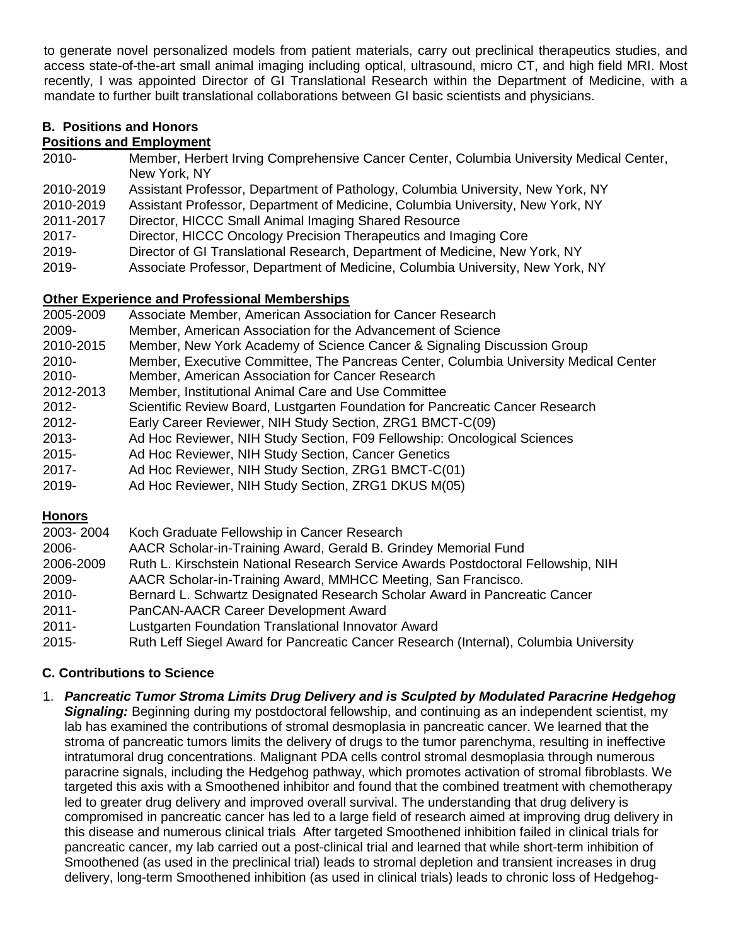to generate novel personalized models from patient materials, carry out preclinical therapeutics studies, and access state-of-the-art small animal imaging including optical, ultrasound, micro CT, and high field MRI. Most recently, I was appointed Director of GI Translational Research within the Department of Medicine, with a mandate to further built translational collaborations between GI basic scientists and physicians.

# **B. Positions and Honors**

# **Positions and Employment**

- 2010- Member, Herbert Irving Comprehensive Cancer Center, Columbia University Medical Center, New York, NY
- 2010-2019 Assistant Professor, Department of Pathology, Columbia University, New York, NY
- 2010-2019 Assistant Professor, Department of Medicine, Columbia University, New York, NY
- 2011-2017 Director, HICCC Small Animal Imaging Shared Resource
- 2017- Director, HICCC Oncology Precision Therapeutics and Imaging Core
- 2019- Director of GI Translational Research, Department of Medicine, New York, NY
- 2019- Associate Professor, Department of Medicine, Columbia University, New York, NY

# **Other Experience and Professional Memberships**

- 2005-2009 Associate Member, American Association for Cancer Research
- 2009- Member, American Association for the Advancement of Science
- 2010-2015 Member, New York Academy of Science Cancer & Signaling Discussion Group
- 2010- Member, Executive Committee, The Pancreas Center, Columbia University Medical Center
- 2010- Member, American Association for Cancer Research
- 2012-2013 Member, Institutional Animal Care and Use Committee
- 2012- Scientific Review Board, Lustgarten Foundation for Pancreatic Cancer Research
- 2012- Early Career Reviewer, NIH Study Section, ZRG1 BMCT-C(09)
- 2013- Ad Hoc Reviewer, NIH Study Section, F09 Fellowship: Oncological Sciences
- 2015- Ad Hoc Reviewer, NIH Study Section, Cancer Genetics
- 2017- Ad Hoc Reviewer, NIH Study Section, ZRG1 BMCT-C(01)
- 2019- Ad Hoc Reviewer, NIH Study Section, ZRG1 DKUS M(05)

# **Honors**

| 2003-2004 | Koch Graduate Fellowship in Cancer Research                                           |
|-----------|---------------------------------------------------------------------------------------|
| 2006-     | AACR Scholar-in-Training Award, Gerald B. Grindey Memorial Fund                       |
| 2006-2009 | Ruth L. Kirschstein National Research Service Awards Postdoctoral Fellowship, NIH     |
| 2009-     | AACR Scholar-in-Training Award, MMHCC Meeting, San Francisco.                         |
| 2010-     | Bernard L. Schwartz Designated Research Scholar Award in Pancreatic Cancer            |
| 2011-     | PanCAN-AACR Career Development Award                                                  |
| 2011-     | Lustgarten Foundation Translational Innovator Award                                   |
| $2015 -$  | Ruth Leff Siegel Award for Pancreatic Cancer Research (Internal), Columbia University |

# **C. Contributions to Science**

1. *Pancreatic Tumor Stroma Limits Drug Delivery and is Sculpted by Modulated Paracrine Hedgehog Signaling:* Beginning during my postdoctoral fellowship, and continuing as an independent scientist, my lab has examined the contributions of stromal desmoplasia in pancreatic cancer. We learned that the stroma of pancreatic tumors limits the delivery of drugs to the tumor parenchyma, resulting in ineffective intratumoral drug concentrations. Malignant PDA cells control stromal desmoplasia through numerous paracrine signals, including the Hedgehog pathway, which promotes activation of stromal fibroblasts. We targeted this axis with a Smoothened inhibitor and found that the combined treatment with chemotherapy led to greater drug delivery and improved overall survival. The understanding that drug delivery is compromised in pancreatic cancer has led to a large field of research aimed at improving drug delivery in this disease and numerous clinical trials After targeted Smoothened inhibition failed in clinical trials for pancreatic cancer, my lab carried out a post-clinical trial and learned that while short-term inhibition of Smoothened (as used in the preclinical trial) leads to stromal depletion and transient increases in drug delivery, long-term Smoothened inhibition (as used in clinical trials) leads to chronic loss of Hedgehog-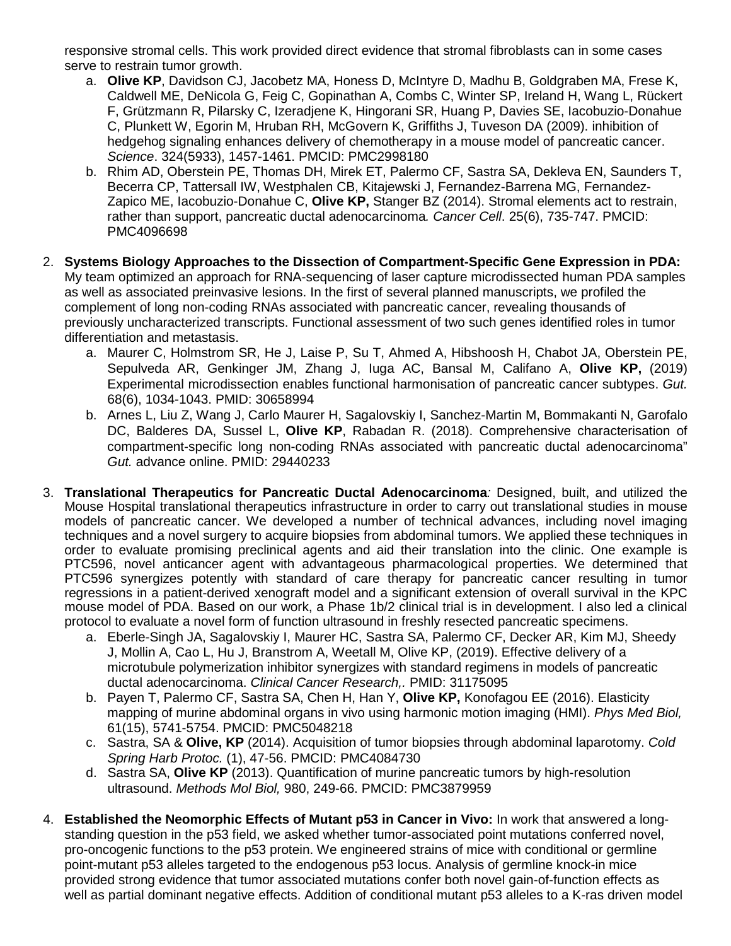responsive stromal cells. This work provided direct evidence that stromal fibroblasts can in some cases serve to restrain tumor growth.

- a. **Olive KP**, Davidson CJ, Jacobetz MA, Honess D, McIntyre D, Madhu B, Goldgraben MA, Frese K, Caldwell ME, DeNicola G, Feig C, Gopinathan A, Combs C, Winter SP, Ireland H, Wang L, Rückert F, Grützmann R, Pilarsky C, Izeradjene K, Hingorani SR, Huang P, Davies SE, Iacobuzio-Donahue C, Plunkett W, Egorin M, Hruban RH, McGovern K, Griffiths J, Tuveson DA (2009). inhibition of hedgehog signaling enhances delivery of chemotherapy in a mouse model of pancreatic cancer. *Science*. 324(5933), 1457-1461. PMCID: PMC2998180
- b. Rhim AD, Oberstein PE, Thomas DH, Mirek ET, Palermo CF, Sastra SA, Dekleva EN, Saunders T, Becerra CP, Tattersall IW, Westphalen CB, Kitajewski J, Fernandez-Barrena MG, Fernandez-Zapico ME, Iacobuzio-Donahue C, **Olive KP,** Stanger BZ (2014). Stromal elements act to restrain, rather than support, pancreatic ductal adenocarcinoma*. Cancer Cell*. 25(6), 735-747. PMCID: PMC4096698
- 2. **Systems Biology Approaches to the Dissection of Compartment-Specific Gene Expression in PDA:**  My team optimized an approach for RNA-sequencing of laser capture microdissected human PDA samples as well as associated preinvasive lesions. In the first of several planned manuscripts, we profiled the complement of long non-coding RNAs associated with pancreatic cancer, revealing thousands of previously uncharacterized transcripts. Functional assessment of two such genes identified roles in tumor differentiation and metastasis.
	- a. Maurer C, Holmstrom SR, He J, Laise P, Su T, Ahmed A, Hibshoosh H, Chabot JA, Oberstein PE, Sepulveda AR, Genkinger JM, Zhang J, Iuga AC, Bansal M, Califano A, **Olive KP,** (2019) Experimental microdissection enables functional harmonisation of pancreatic cancer subtypes. *Gut.* 68(6), 1034-1043. PMID: 30658994
	- b. Arnes L, Liu Z, Wang J, Carlo Maurer H, Sagalovskiy I, Sanchez-Martin M, Bommakanti N, Garofalo DC, Balderes DA, Sussel L, **Olive KP**, Rabadan R. (2018). Comprehensive characterisation of compartment-specific long non-coding RNAs associated with pancreatic ductal adenocarcinoma" *Gut.* advance online. PMID: 29440233
- 3. **Translational Therapeutics for Pancreatic Ductal Adenocarcinoma***:* Designed, built, and utilized the Mouse Hospital translational therapeutics infrastructure in order to carry out translational studies in mouse models of pancreatic cancer. We developed a number of technical advances, including novel imaging techniques and a novel surgery to acquire biopsies from abdominal tumors. We applied these techniques in order to evaluate promising preclinical agents and aid their translation into the clinic. One example is PTC596, novel anticancer agent with advantageous pharmacological properties. We determined that PTC596 synergizes potently with standard of care therapy for pancreatic cancer resulting in tumor regressions in a patient-derived xenograft model and a significant extension of overall survival in the KPC mouse model of PDA. Based on our work, a Phase 1b/2 clinical trial is in development. I also led a clinical protocol to evaluate a novel form of function ultrasound in freshly resected pancreatic specimens.
	- a. Eberle-Singh JA, Sagalovskiy I, Maurer HC, Sastra SA, Palermo CF, Decker AR, Kim MJ, Sheedy J, Mollin A, Cao L, Hu J, Branstrom A, Weetall M, Olive KP, (2019). Effective delivery of a microtubule polymerization inhibitor synergizes with standard regimens in models of pancreatic ductal adenocarcinoma. *Clinical Cancer Research,.* PMID: 31175095
	- b. Payen T, Palermo CF, Sastra SA, Chen H, Han Y, **Olive KP,** Konofagou EE (2016). Elasticity mapping of murine abdominal organs in vivo using harmonic motion imaging (HMI). *Phys Med Biol,* 61(15), 5741-5754. PMCID: PMC5048218
	- c. Sastra, SA & **Olive, KP** (2014). Acquisition of tumor biopsies through abdominal laparotomy. *Cold Spring Harb Protoc.* (1), 47-56. PMCID: PMC4084730
	- d. Sastra SA, **Olive KP** (2013). Quantification of murine pancreatic tumors by high-resolution ultrasound. *Methods Mol Biol,* 980, 249-66. PMCID: PMC3879959
- 4. **Established the Neomorphic Effects of Mutant p53 in Cancer in Vivo:** In work that answered a longstanding question in the p53 field, we asked whether tumor-associated point mutations conferred novel, pro-oncogenic functions to the p53 protein. We engineered strains of mice with conditional or germline point-mutant p53 alleles targeted to the endogenous p53 locus. Analysis of germline knock-in mice provided strong evidence that tumor associated mutations confer both novel gain-of-function effects as well as partial dominant negative effects. Addition of conditional mutant p53 alleles to a K-ras driven model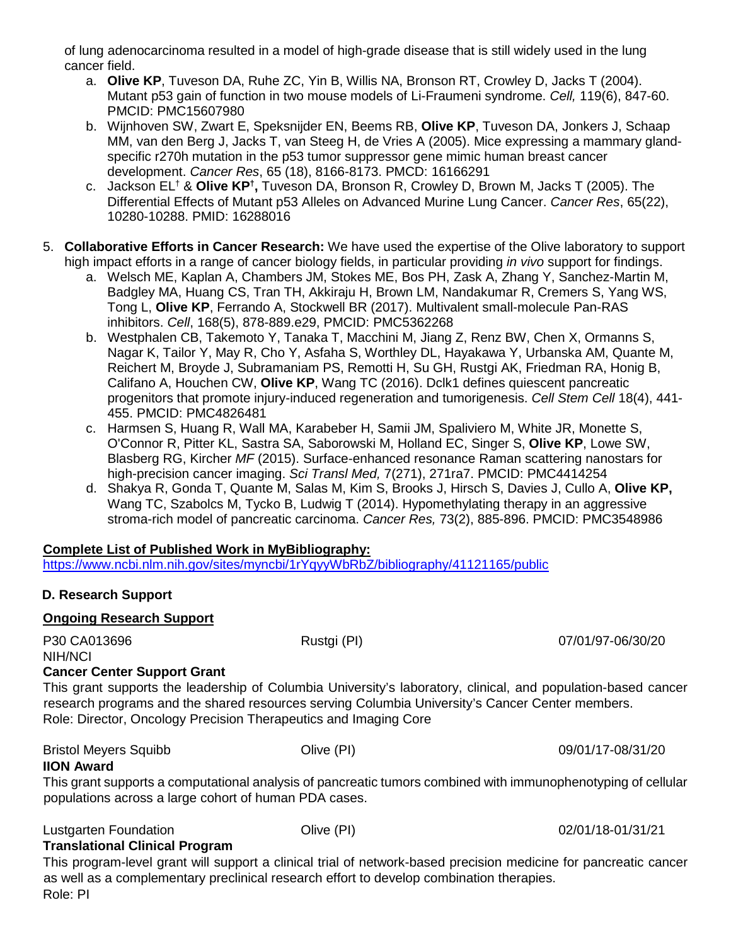of lung adenocarcinoma resulted in a model of high-grade disease that is still widely used in the lung cancer field.

- a. **Olive KP**, Tuveson DA, Ruhe ZC, Yin B, Willis NA, Bronson RT, Crowley D, Jacks T (2004). Mutant p53 gain of function in two mouse models of Li-Fraumeni syndrome. *Cell,* 119(6), 847-60. PMCID: PMC15607980
- b. Wijnhoven SW, Zwart E, Speksnijder EN, Beems RB, **Olive KP**, Tuveson DA, Jonkers J, Schaap MM, van den Berg J, Jacks T, van Steeg H, de Vries A (2005). Mice expressing a mammary glandspecific r270h mutation in the p53 tumor suppressor gene mimic human breast cancer development. *Cancer Res*, 65 (18), 8166-8173. PMCD: 16166291
- c. Jackson EL<sup>†</sup> & **Olive KP<sup>†</sup>,** Tuveson DA, Bronson R, Crowley D, Brown M, Jacks T (2005). The Differential Effects of Mutant p53 Alleles on Advanced Murine Lung Cancer. *Cancer Res*, 65(22), 10280-10288. PMID: 16288016
- 5. **Collaborative Efforts in Cancer Research:** We have used the expertise of the Olive laboratory to support high impact efforts in a range of cancer biology fields, in particular providing *in vivo* support for findings.
	- a. Welsch ME, Kaplan A, Chambers JM, Stokes ME, Bos PH, Zask A, Zhang Y, Sanchez-Martin M, Badgley MA, Huang CS, Tran TH, Akkiraju H, Brown LM, Nandakumar R, Cremers S, Yang WS, Tong L, **Olive KP**, Ferrando A, Stockwell BR (2017). Multivalent small-molecule Pan-RAS inhibitors. *Cell*, 168(5), 878-889.e29, PMCID: PMC5362268
	- b. Westphalen CB, Takemoto Y, Tanaka T, Macchini M, Jiang Z, Renz BW, Chen X, Ormanns S, Nagar K, Tailor Y, May R, Cho Y, Asfaha S, Worthley DL, Hayakawa Y, Urbanska AM, Quante M, Reichert M, Broyde J, Subramaniam PS, Remotti H, Su GH, Rustgi AK, Friedman RA, Honig B, Califano A, Houchen CW, **Olive KP**, Wang TC (2016). Dclk1 defines quiescent pancreatic progenitors that promote injury-induced regeneration and tumorigenesis. *Cell Stem Cell* 18(4), 441- 455. PMCID: PMC4826481
	- c. Harmsen S, Huang R, Wall MA, Karabeber H, Samii JM, Spaliviero M, White JR, Monette S, O'Connor R, Pitter KL, Sastra SA, Saborowski M, Holland EC, Singer S, **Olive KP**, Lowe SW, Blasberg RG, Kircher *MF* (2015). Surface-enhanced resonance Raman scattering nanostars for high-precision cancer imaging. *Sci Transl Med,* 7(271), 271ra7. PMCID: PMC4414254
	- d. Shakya R, Gonda T, Quante M, Salas M, Kim S, Brooks J, Hirsch S, Davies J, Cullo A, **Olive KP,** Wang TC, Szabolcs M, Tycko B, Ludwig T (2014). Hypomethylating therapy in an aggressive stroma-rich model of pancreatic carcinoma. *Cancer Res,* 73(2), 885-896. PMCID: PMC3548986

#### **Complete List of Published Work in MyBibliography:**

https://www.ncbi.nlm.nih.gov/sites/myncbi/1rYqyyWbRbZ/bibliography/41121165/public

# **D. Research Support**

#### **Ongoing Research Support**

P30 CA013696 **Rustgi (PI) Rustgi (PI) Rustgi (PI)** 07/01/97-06/30/20

NIH/NCI

# **Cancer Center Support Grant**

This grant supports the leadership of Columbia University's laboratory, clinical, and population-based cancer research programs and the shared resources serving Columbia University's Cancer Center members. Role: Director, Oncology Precision Therapeutics and Imaging Core

Bristol Meyers Squibb Olive (PI)09/01/17-08/31/20

# **IION Award**

This grant supports a computational analysis of pancreatic tumors combined with immunophenotyping of cellular populations across a large cohort of human PDA cases.

Lustgarten Foundation Olive (PI)02/01/18-01/31/21

# **Translational Clinical Program**

This program-level grant will support a clinical trial of network-based precision medicine for pancreatic cancer as well as a complementary preclinical research effort to develop combination therapies. Role: PI